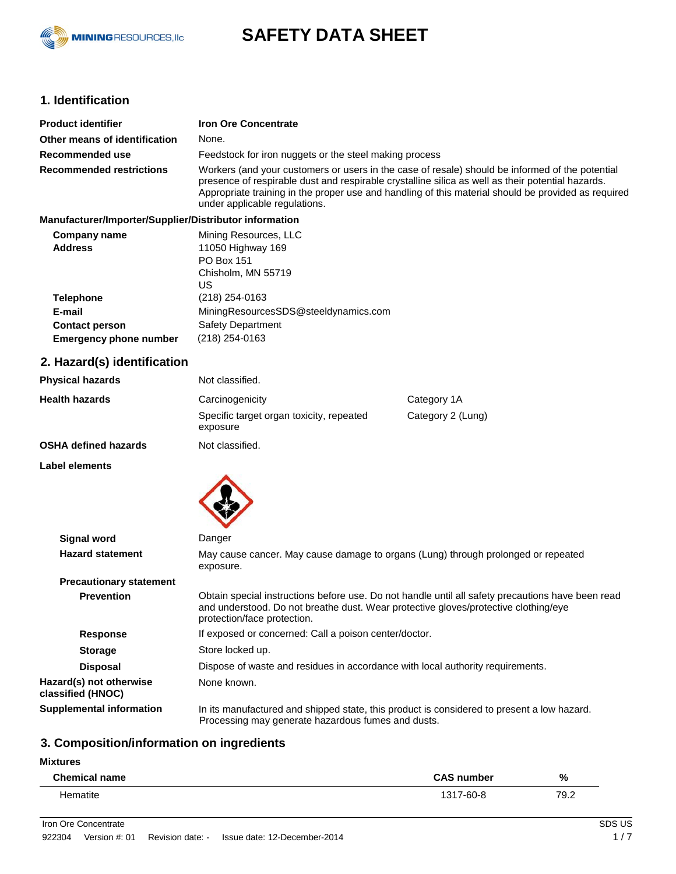

# **SAFETY DATA SHEET**

# **1. Identification**

| <b>Product identifier</b>       | <b>Iron Ore Concentrate</b>                                                                                                                                                                                                                                                                                                                  |  |
|---------------------------------|----------------------------------------------------------------------------------------------------------------------------------------------------------------------------------------------------------------------------------------------------------------------------------------------------------------------------------------------|--|
| Other means of identification   | None.                                                                                                                                                                                                                                                                                                                                        |  |
| Recommended use                 | Feedstock for iron nuggets or the steel making process                                                                                                                                                                                                                                                                                       |  |
| <b>Recommended restrictions</b> | Workers (and your customers or users in the case of resale) should be informed of the potential<br>presence of respirable dust and respirable crystalline silica as well as their potential hazards.<br>Appropriate training in the proper use and handling of this material should be provided as required<br>under applicable regulations. |  |

#### **Manufacturer/Importer/Supplier/Distributor information**

| Company name                  | Mining Resources, LLC                |
|-------------------------------|--------------------------------------|
| <b>Address</b>                | 11050 Highway 169                    |
|                               | <b>PO Box 151</b>                    |
|                               | Chisholm, MN 55719                   |
|                               | US                                   |
| <b>Telephone</b>              | (218) 254-0163                       |
| E-mail                        | MiningResourcesSDS@steeldynamics.com |
| <b>Contact person</b>         | <b>Safety Department</b>             |
| <b>Emergency phone number</b> | (218) 254-0163                       |

# **2. Hazard(s) identification**

| <b>Physical hazards</b>     | Not classified.                                      |                   |
|-----------------------------|------------------------------------------------------|-------------------|
| <b>Health hazards</b>       | Carcinogenicity                                      | Category 1A       |
|                             | Specific target organ toxicity, repeated<br>exposure | Category 2 (Lung) |
| <b>OSHA defined hazards</b> | Not classified.                                      |                   |

**Label elements**



| Signal word                                  | Danger                                                                                                                                                                                                                  |  |  |
|----------------------------------------------|-------------------------------------------------------------------------------------------------------------------------------------------------------------------------------------------------------------------------|--|--|
| <b>Hazard statement</b>                      | May cause cancer. May cause damage to organs (Lung) through prolonged or repeated<br>exposure.                                                                                                                          |  |  |
| <b>Precautionary statement</b>               |                                                                                                                                                                                                                         |  |  |
| <b>Prevention</b>                            | Obtain special instructions before use. Do not handle until all safety precautions have been read<br>and understood. Do not breathe dust. Wear protective gloves/protective clothing/eye<br>protection/face protection. |  |  |
| <b>Response</b>                              | If exposed or concerned: Call a poison center/doctor.                                                                                                                                                                   |  |  |
| <b>Storage</b>                               | Store locked up.                                                                                                                                                                                                        |  |  |
| <b>Disposal</b>                              | Dispose of waste and residues in accordance with local authority requirements.                                                                                                                                          |  |  |
| Hazard(s) not otherwise<br>classified (HNOC) | None known.                                                                                                                                                                                                             |  |  |
| <b>Supplemental information</b>              | In its manufactured and shipped state, this product is considered to present a low hazard.<br>Processing may generate hazardous fumes and dusts.                                                                        |  |  |

# **3. Composition/information on ingredients**

| <b>Mixtures</b>      |                   |      |
|----------------------|-------------------|------|
| <b>Chemical name</b> | <b>CAS number</b> | %    |
| Hematite             | 1317-60-8         | 79.2 |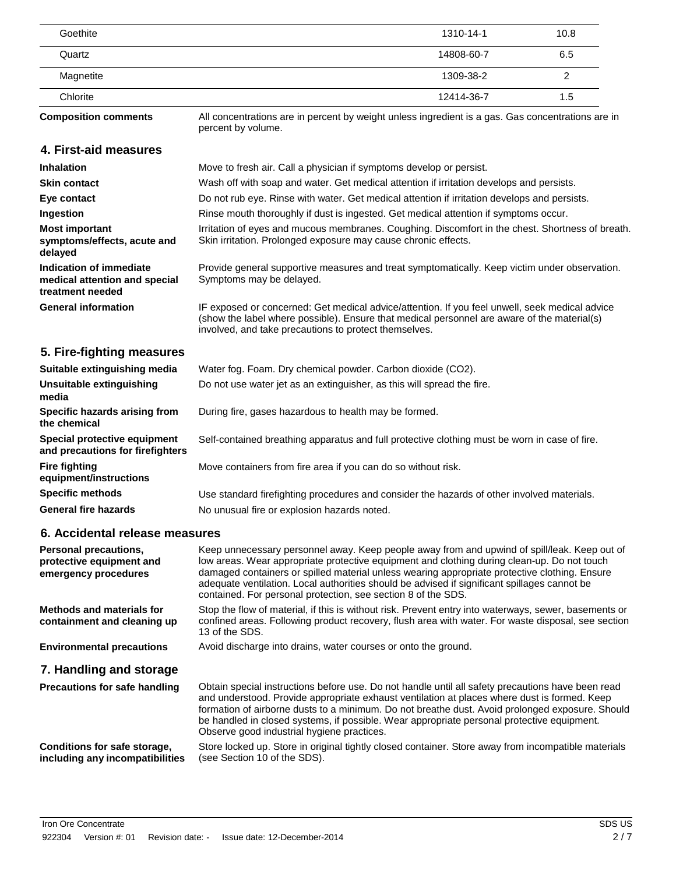| Goethite  | 1310-14-1  | 10.8 |
|-----------|------------|------|
| Quartz    | 14808-60-7 | 6.5  |
| Magnetite | 1309-38-2  |      |
| Chlorite  | 12414-36-7 | 1.5  |

**Composition comments**

All concentrations are in percent by weight unless ingredient is a gas. Gas concentrations are in percent by volume.

### **4. First-aid measures**

| <b>Inhalation</b>                                                            | Move to fresh air. Call a physician if symptoms develop or persist.                                                                                                                                                                                    |
|------------------------------------------------------------------------------|--------------------------------------------------------------------------------------------------------------------------------------------------------------------------------------------------------------------------------------------------------|
| <b>Skin contact</b>                                                          | Wash off with soap and water. Get medical attention if irritation develops and persists.                                                                                                                                                               |
| Eye contact                                                                  | Do not rub eye. Rinse with water. Get medical attention if irritation develops and persists.                                                                                                                                                           |
| Ingestion                                                                    | Rinse mouth thoroughly if dust is ingested. Get medical attention if symptoms occur.                                                                                                                                                                   |
| <b>Most important</b><br>symptoms/effects, acute and<br>delayed              | Irritation of eyes and mucous membranes. Coughing. Discomfort in the chest. Shortness of breath.<br>Skin irritation. Prolonged exposure may cause chronic effects.                                                                                     |
| Indication of immediate<br>medical attention and special<br>treatment needed | Provide general supportive measures and treat symptomatically. Keep victim under observation.<br>Symptoms may be delayed.                                                                                                                              |
| <b>General information</b>                                                   | IF exposed or concerned: Get medical advice/attention. If you feel unwell, seek medical advice<br>(show the label where possible). Ensure that medical personnel are aware of the material(s)<br>involved, and take precautions to protect themselves. |
| 5. Fire-fighting measures                                                    |                                                                                                                                                                                                                                                        |
| Suitable extinguishing media                                                 |                                                                                                                                                                                                                                                        |
|                                                                              | Water fog. Foam. Dry chemical powder. Carbon dioxide (CO2).                                                                                                                                                                                            |
| Unsuitable extinguishing<br>media                                            | Do not use water jet as an extinguisher, as this will spread the fire.                                                                                                                                                                                 |
| Specific hazards arising from<br>the chemical                                | During fire, gases hazardous to health may be formed.                                                                                                                                                                                                  |
| Special protective equipment<br>and precautions for firefighters             | Self-contained breathing apparatus and full protective clothing must be worn in case of fire.                                                                                                                                                          |
| <b>Fire fighting</b><br>equipment/instructions                               | Move containers from fire area if you can do so without risk.                                                                                                                                                                                          |
| <b>Specific methods</b>                                                      | Use standard firefighting procedures and consider the hazards of other involved materials.                                                                                                                                                             |

# **6. Accidental release measures**

| Personal precautions,<br>protective equipment and<br>emergency procedures | Keep unnecessary personnel away. Keep people away from and upwind of spill/leak. Keep out of<br>low areas. Wear appropriate protective equipment and clothing during clean-up. Do not touch<br>damaged containers or spilled material unless wearing appropriate protective clothing. Ensure<br>adequate ventilation. Local authorities should be advised if significant spillages cannot be<br>contained. For personal protection, see section 8 of the SDS. |
|---------------------------------------------------------------------------|---------------------------------------------------------------------------------------------------------------------------------------------------------------------------------------------------------------------------------------------------------------------------------------------------------------------------------------------------------------------------------------------------------------------------------------------------------------|
| Methods and materials for<br>containment and cleaning up                  | Stop the flow of material, if this is without risk. Prevent entry into waterways, sewer, basements or<br>confined areas. Following product recovery, flush area with water. For waste disposal, see section<br>13 of the SDS.                                                                                                                                                                                                                                 |
| <b>Environmental precautions</b>                                          | Avoid discharge into drains, water courses or onto the ground.                                                                                                                                                                                                                                                                                                                                                                                                |
| 7. Handling and storage                                                   |                                                                                                                                                                                                                                                                                                                                                                                                                                                               |
| <b>Precautions for safe handling</b>                                      | Obtain special instructions before use. Do not handle until all safety precautions have been read<br>and understood. Provide appropriate exhaust ventilation at places where dust is formed. Keep<br>formation of airborne dusts to a minimum. Do not breathe dust. Avoid prolonged exposure. Should<br>be handled in closed systems, if possible. Wear appropriate personal protective equipment.<br>Observe good industrial hygiene practices.              |
| Conditions for safe storage,<br>including any incompatibilities           | Store locked up. Store in original tightly closed container. Store away from incompatible materials<br>(see Section 10 of the SDS).                                                                                                                                                                                                                                                                                                                           |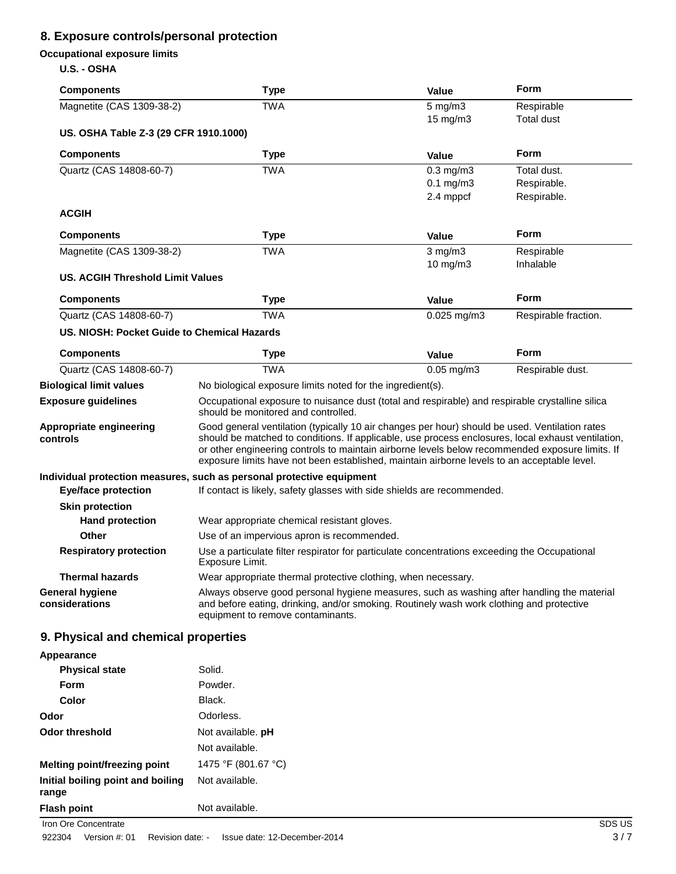# **8. Exposure controls/personal protection**

# **Occupational exposure limits**

### **U.S. - OSHA**

| <b>Components</b>                           | <b>Type</b>                                                                                                                                                                                                                                                                                                                                                                                            | <b>Value</b>    | Form                 |
|---------------------------------------------|--------------------------------------------------------------------------------------------------------------------------------------------------------------------------------------------------------------------------------------------------------------------------------------------------------------------------------------------------------------------------------------------------------|-----------------|----------------------|
| Magnetite (CAS 1309-38-2)                   | <b>TWA</b>                                                                                                                                                                                                                                                                                                                                                                                             | $5$ mg/m $3$    | Respirable           |
|                                             |                                                                                                                                                                                                                                                                                                                                                                                                        | 15 mg/m3        | Total dust           |
| US. OSHA Table Z-3 (29 CFR 1910.1000)       |                                                                                                                                                                                                                                                                                                                                                                                                        |                 |                      |
| <b>Components</b>                           | <b>Type</b>                                                                                                                                                                                                                                                                                                                                                                                            | <b>Value</b>    | <b>Form</b>          |
| Quartz (CAS 14808-60-7)                     | <b>TWA</b>                                                                                                                                                                                                                                                                                                                                                                                             | $0.3$ mg/m $3$  | Total dust.          |
|                                             |                                                                                                                                                                                                                                                                                                                                                                                                        | $0.1$ mg/m $3$  | Respirable.          |
|                                             |                                                                                                                                                                                                                                                                                                                                                                                                        | 2.4 mppcf       | Respirable.          |
| <b>ACGIH</b>                                |                                                                                                                                                                                                                                                                                                                                                                                                        |                 |                      |
| <b>Components</b>                           | <b>Type</b>                                                                                                                                                                                                                                                                                                                                                                                            | <b>Value</b>    | <b>Form</b>          |
| Magnetite (CAS 1309-38-2)                   | <b>TWA</b>                                                                                                                                                                                                                                                                                                                                                                                             | $3$ mg/m $3$    | Respirable           |
|                                             |                                                                                                                                                                                                                                                                                                                                                                                                        | 10 mg/m3        | Inhalable            |
| <b>US. ACGIH Threshold Limit Values</b>     |                                                                                                                                                                                                                                                                                                                                                                                                        |                 |                      |
| <b>Components</b>                           | <b>Type</b>                                                                                                                                                                                                                                                                                                                                                                                            | <b>Value</b>    | <b>Form</b>          |
| Quartz (CAS 14808-60-7)                     | <b>TWA</b>                                                                                                                                                                                                                                                                                                                                                                                             | $0.025$ mg/m3   | Respirable fraction. |
| US. NIOSH: Pocket Guide to Chemical Hazards |                                                                                                                                                                                                                                                                                                                                                                                                        |                 |                      |
| <b>Components</b>                           | <b>Type</b>                                                                                                                                                                                                                                                                                                                                                                                            | <b>Value</b>    | <b>Form</b>          |
| Quartz (CAS 14808-60-7)                     | <b>TWA</b>                                                                                                                                                                                                                                                                                                                                                                                             | $0.05$ mg/m $3$ | Respirable dust.     |
| <b>Biological limit values</b>              | No biological exposure limits noted for the ingredient(s).                                                                                                                                                                                                                                                                                                                                             |                 |                      |
| <b>Exposure guidelines</b>                  | Occupational exposure to nuisance dust (total and respirable) and respirable crystalline silica<br>should be monitored and controlled.                                                                                                                                                                                                                                                                 |                 |                      |
| Appropriate engineering<br>controls         | Good general ventilation (typically 10 air changes per hour) should be used. Ventilation rates<br>should be matched to conditions. If applicable, use process enclosures, local exhaust ventilation,<br>or other engineering controls to maintain airborne levels below recommended exposure limits. If<br>exposure limits have not been established, maintain airborne levels to an acceptable level. |                 |                      |
|                                             | Individual protection measures, such as personal protective equipment                                                                                                                                                                                                                                                                                                                                  |                 |                      |
| <b>Eye/face protection</b>                  | If contact is likely, safety glasses with side shields are recommended.                                                                                                                                                                                                                                                                                                                                |                 |                      |
| <b>Skin protection</b>                      |                                                                                                                                                                                                                                                                                                                                                                                                        |                 |                      |
| <b>Hand protection</b>                      | Wear appropriate chemical resistant gloves.                                                                                                                                                                                                                                                                                                                                                            |                 |                      |
| <b>Other</b>                                | Use of an impervious apron is recommended.                                                                                                                                                                                                                                                                                                                                                             |                 |                      |
| <b>Respiratory protection</b>               | Use a particulate filter respirator for particulate concentrations exceeding the Occupational<br>Exposure Limit.                                                                                                                                                                                                                                                                                       |                 |                      |
| <b>Thermal hazards</b>                      | Wear appropriate thermal protective clothing, when necessary.                                                                                                                                                                                                                                                                                                                                          |                 |                      |
| <b>General hygiene</b><br>considerations    | Always observe good personal hygiene measures, such as washing after handling the material<br>and before eating, drinking, and/or smoking. Routinely wash work clothing and protective<br>equipment to remove contaminants.                                                                                                                                                                            |                 |                      |
| 9. Physical and chemical properties         |                                                                                                                                                                                                                                                                                                                                                                                                        |                 |                      |
| Appearance                                  |                                                                                                                                                                                                                                                                                                                                                                                                        |                 |                      |

| <b>Physical state</b>                      | Solid.              |
|--------------------------------------------|---------------------|
| Form                                       | Powder.             |
| Color                                      | Black.              |
| Odor                                       | Odorless.           |
| <b>Odor threshold</b>                      | Not available. pH   |
|                                            | Not available.      |
| Melting point/freezing point               | 1475 °F (801.67 °C) |
| Initial boiling point and boiling<br>range | Not available.      |
| <b>Flash point</b>                         | Not available.      |
| Iron Ore Concentrate                       |                     |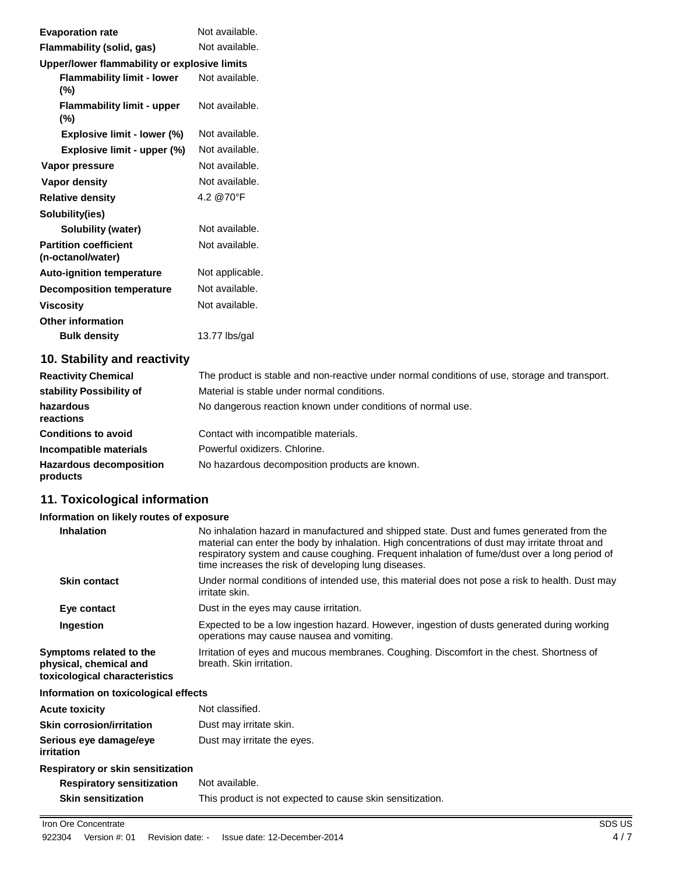| <b>Evaporation rate</b>                           | Not available.  |
|---------------------------------------------------|-----------------|
| Flammability (solid, gas)                         | Not available.  |
| Upper/lower flammability or explosive limits      |                 |
| <b>Flammability limit - lower</b><br>$(\%)$       | Not available.  |
| <b>Flammability limit - upper</b><br>$(\%)$       | Not available.  |
| Explosive limit - lower (%)                       | Not available.  |
| Explosive limit - upper (%)                       | Not available.  |
| Vapor pressure                                    | Not available.  |
| Vapor density                                     | Not available.  |
| <b>Relative density</b>                           | 4.2 @70°F       |
| Solubility(ies)                                   |                 |
| <b>Solubility (water)</b>                         | Not available.  |
| <b>Partition coefficient</b><br>(n-octanol/water) | Not available.  |
| <b>Auto-ignition temperature</b>                  | Not applicable. |
| <b>Decomposition temperature</b>                  | Not available.  |
| <b>Viscosity</b>                                  | Not available.  |
| <b>Other information</b>                          |                 |
| <b>Bulk density</b>                               | 13.77 lbs/gal   |
|                                                   |                 |

# **10. Stability and reactivity**

| <b>Reactivity Chemical</b>                 | The product is stable and non-reactive under normal conditions of use, storage and transport. |
|--------------------------------------------|-----------------------------------------------------------------------------------------------|
| stability Possibility of                   | Material is stable under normal conditions.                                                   |
| hazardous<br>reactions                     | No dangerous reaction known under conditions of normal use.                                   |
| <b>Conditions to avoid</b>                 | Contact with incompatible materials.                                                          |
| Incompatible materials                     | Powerful oxidizers, Chlorine.                                                                 |
| <b>Hazardous decomposition</b><br>products | No hazardous decomposition products are known.                                                |

# **11. Toxicological information**

#### **Information on likely routes of exposure**

| <b>Inhalation</b>                                                                  | No inhalation hazard in manufactured and shipped state. Dust and fumes generated from the<br>material can enter the body by inhalation. High concentrations of dust may irritate throat and<br>respiratory system and cause coughing. Frequent inhalation of fume/dust over a long period of<br>time increases the risk of developing lung diseases. |
|------------------------------------------------------------------------------------|------------------------------------------------------------------------------------------------------------------------------------------------------------------------------------------------------------------------------------------------------------------------------------------------------------------------------------------------------|
| <b>Skin contact</b>                                                                | Under normal conditions of intended use, this material does not pose a risk to health. Dust may<br>irritate skin.                                                                                                                                                                                                                                    |
| Eye contact                                                                        | Dust in the eyes may cause irritation.                                                                                                                                                                                                                                                                                                               |
| Ingestion                                                                          | Expected to be a low ingestion hazard. However, ingestion of dusts generated during working<br>operations may cause nausea and vomiting.                                                                                                                                                                                                             |
| Symptoms related to the<br>physical, chemical and<br>toxicological characteristics | Irritation of eyes and mucous membranes. Coughing. Discomfort in the chest. Shortness of<br>breath. Skin irritation.                                                                                                                                                                                                                                 |
|                                                                                    |                                                                                                                                                                                                                                                                                                                                                      |

#### **Information on toxicological effects**

| <b>Acute toxicity</b>                | Not classified.                                           |
|--------------------------------------|-----------------------------------------------------------|
| <b>Skin corrosion/irritation</b>     | Dust may irritate skin.                                   |
| Serious eye damage/eye<br>irritation | Dust may irritate the eyes.                               |
| Respiratory or skin sensitization    |                                                           |
| <b>Respiratory sensitization</b>     | Not available.                                            |
| <b>Skin sensitization</b>            | This product is not expected to cause skin sensitization. |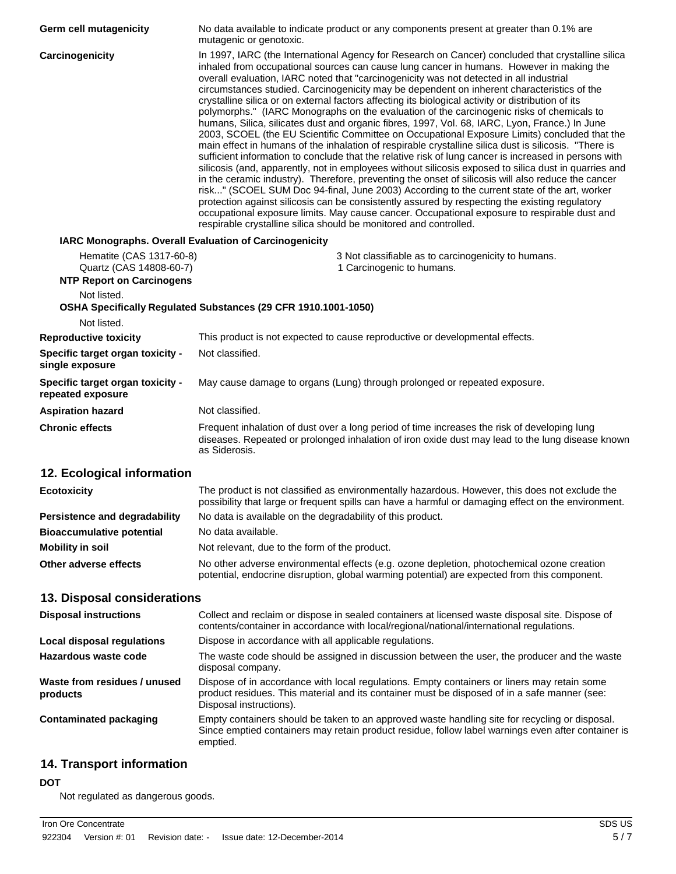| Germ cell mutagenicity                                      | No data available to indicate product or any components present at greater than 0.1% are<br>mutagenic or genotoxic.                                                                                                                                                                                                                                                                                                                                                                                                                                                                                                                                                                                                                                                                                                                                                                                                                                                                                                                                                                                                                                                                                                                                                                                                                                                                                                                                                                                                                                                                                |
|-------------------------------------------------------------|----------------------------------------------------------------------------------------------------------------------------------------------------------------------------------------------------------------------------------------------------------------------------------------------------------------------------------------------------------------------------------------------------------------------------------------------------------------------------------------------------------------------------------------------------------------------------------------------------------------------------------------------------------------------------------------------------------------------------------------------------------------------------------------------------------------------------------------------------------------------------------------------------------------------------------------------------------------------------------------------------------------------------------------------------------------------------------------------------------------------------------------------------------------------------------------------------------------------------------------------------------------------------------------------------------------------------------------------------------------------------------------------------------------------------------------------------------------------------------------------------------------------------------------------------------------------------------------------------|
| Carcinogenicity                                             | In 1997, IARC (the International Agency for Research on Cancer) concluded that crystalline silica<br>inhaled from occupational sources can cause lung cancer in humans. However in making the<br>overall evaluation, IARC noted that "carcinogenicity was not detected in all industrial<br>circumstances studied. Carcinogenicity may be dependent on inherent characteristics of the<br>crystalline silica or on external factors affecting its biological activity or distribution of its<br>polymorphs." (IARC Monographs on the evaluation of the carcinogenic risks of chemicals to<br>humans, Silica, silicates dust and organic fibres, 1997, Vol. 68, IARC, Lyon, France.) In June<br>2003, SCOEL (the EU Scientific Committee on Occupational Exposure Limits) concluded that the<br>main effect in humans of the inhalation of respirable crystalline silica dust is silicosis. "There is<br>sufficient information to conclude that the relative risk of lung cancer is increased in persons with<br>silicosis (and, apparently, not in employees without silicosis exposed to silica dust in quarries and<br>in the ceramic industry). Therefore, preventing the onset of silicosis will also reduce the cancer<br>risk" (SCOEL SUM Doc 94-final, June 2003) According to the current state of the art, worker<br>protection against silicosis can be consistently assured by respecting the existing regulatory<br>occupational exposure limits. May cause cancer. Occupational exposure to respirable dust and<br>respirable crystalline silica should be monitored and controlled. |
| IARC Monographs. Overall Evaluation of Carcinogenicity      |                                                                                                                                                                                                                                                                                                                                                                                                                                                                                                                                                                                                                                                                                                                                                                                                                                                                                                                                                                                                                                                                                                                                                                                                                                                                                                                                                                                                                                                                                                                                                                                                    |
| Hematite (CAS 1317-60-8)                                    | 3 Not classifiable as to carcinogenicity to humans.                                                                                                                                                                                                                                                                                                                                                                                                                                                                                                                                                                                                                                                                                                                                                                                                                                                                                                                                                                                                                                                                                                                                                                                                                                                                                                                                                                                                                                                                                                                                                |
| Quartz (CAS 14808-60-7)<br><b>NTP Report on Carcinogens</b> | 1 Carcinogenic to humans.                                                                                                                                                                                                                                                                                                                                                                                                                                                                                                                                                                                                                                                                                                                                                                                                                                                                                                                                                                                                                                                                                                                                                                                                                                                                                                                                                                                                                                                                                                                                                                          |
| Not listed.                                                 |                                                                                                                                                                                                                                                                                                                                                                                                                                                                                                                                                                                                                                                                                                                                                                                                                                                                                                                                                                                                                                                                                                                                                                                                                                                                                                                                                                                                                                                                                                                                                                                                    |
| Not listed.                                                 | OSHA Specifically Regulated Substances (29 CFR 1910.1001-1050)                                                                                                                                                                                                                                                                                                                                                                                                                                                                                                                                                                                                                                                                                                                                                                                                                                                                                                                                                                                                                                                                                                                                                                                                                                                                                                                                                                                                                                                                                                                                     |
| <b>Reproductive toxicity</b>                                | This product is not expected to cause reproductive or developmental effects.                                                                                                                                                                                                                                                                                                                                                                                                                                                                                                                                                                                                                                                                                                                                                                                                                                                                                                                                                                                                                                                                                                                                                                                                                                                                                                                                                                                                                                                                                                                       |
| Specific target organ toxicity -                            | Not classified.                                                                                                                                                                                                                                                                                                                                                                                                                                                                                                                                                                                                                                                                                                                                                                                                                                                                                                                                                                                                                                                                                                                                                                                                                                                                                                                                                                                                                                                                                                                                                                                    |
| single exposure                                             |                                                                                                                                                                                                                                                                                                                                                                                                                                                                                                                                                                                                                                                                                                                                                                                                                                                                                                                                                                                                                                                                                                                                                                                                                                                                                                                                                                                                                                                                                                                                                                                                    |
| Specific target organ toxicity -<br>repeated exposure       | May cause damage to organs (Lung) through prolonged or repeated exposure.                                                                                                                                                                                                                                                                                                                                                                                                                                                                                                                                                                                                                                                                                                                                                                                                                                                                                                                                                                                                                                                                                                                                                                                                                                                                                                                                                                                                                                                                                                                          |
| <b>Aspiration hazard</b>                                    | Not classified.                                                                                                                                                                                                                                                                                                                                                                                                                                                                                                                                                                                                                                                                                                                                                                                                                                                                                                                                                                                                                                                                                                                                                                                                                                                                                                                                                                                                                                                                                                                                                                                    |
| <b>Chronic effects</b>                                      | Frequent inhalation of dust over a long period of time increases the risk of developing lung<br>diseases. Repeated or prolonged inhalation of iron oxide dust may lead to the lung disease known<br>as Siderosis.                                                                                                                                                                                                                                                                                                                                                                                                                                                                                                                                                                                                                                                                                                                                                                                                                                                                                                                                                                                                                                                                                                                                                                                                                                                                                                                                                                                  |
| 12. Ecological information                                  |                                                                                                                                                                                                                                                                                                                                                                                                                                                                                                                                                                                                                                                                                                                                                                                                                                                                                                                                                                                                                                                                                                                                                                                                                                                                                                                                                                                                                                                                                                                                                                                                    |
| <b>Ecotoxicity</b>                                          | The product is not classified as environmentally hazardous. However, this does not exclude the<br>possibility that large or frequent spills can have a harmful or damaging effect on the environment.                                                                                                                                                                                                                                                                                                                                                                                                                                                                                                                                                                                                                                                                                                                                                                                                                                                                                                                                                                                                                                                                                                                                                                                                                                                                                                                                                                                              |
| Persistence and degradability                               | No data is available on the degradability of this product.                                                                                                                                                                                                                                                                                                                                                                                                                                                                                                                                                                                                                                                                                                                                                                                                                                                                                                                                                                                                                                                                                                                                                                                                                                                                                                                                                                                                                                                                                                                                         |
| <b>Bioaccumulative potential</b>                            | No data available.                                                                                                                                                                                                                                                                                                                                                                                                                                                                                                                                                                                                                                                                                                                                                                                                                                                                                                                                                                                                                                                                                                                                                                                                                                                                                                                                                                                                                                                                                                                                                                                 |
| <b>Mobility in soil</b>                                     | Not relevant, due to the form of the product.                                                                                                                                                                                                                                                                                                                                                                                                                                                                                                                                                                                                                                                                                                                                                                                                                                                                                                                                                                                                                                                                                                                                                                                                                                                                                                                                                                                                                                                                                                                                                      |
| Other adverse effects                                       | No other adverse environmental effects (e.g. ozone depletion, photochemical ozone creation<br>potential, endocrine disruption, global warming potential) are expected from this component.                                                                                                                                                                                                                                                                                                                                                                                                                                                                                                                                                                                                                                                                                                                                                                                                                                                                                                                                                                                                                                                                                                                                                                                                                                                                                                                                                                                                         |
| 13. Disposal considerations                                 |                                                                                                                                                                                                                                                                                                                                                                                                                                                                                                                                                                                                                                                                                                                                                                                                                                                                                                                                                                                                                                                                                                                                                                                                                                                                                                                                                                                                                                                                                                                                                                                                    |
| <b>Disposal instructions</b>                                | Collect and reclaim or dispose in sealed containers at licensed waste disposal site. Dispose of<br>contents/container in accordance with local/regional/national/international regulations.                                                                                                                                                                                                                                                                                                                                                                                                                                                                                                                                                                                                                                                                                                                                                                                                                                                                                                                                                                                                                                                                                                                                                                                                                                                                                                                                                                                                        |
| <b>Local disposal regulations</b>                           | Dispose in accordance with all applicable regulations.                                                                                                                                                                                                                                                                                                                                                                                                                                                                                                                                                                                                                                                                                                                                                                                                                                                                                                                                                                                                                                                                                                                                                                                                                                                                                                                                                                                                                                                                                                                                             |
| <b>Hazardous waste code</b>                                 | The waste code should be assigned in discussion between the user, the producer and the waste<br>disposal company.                                                                                                                                                                                                                                                                                                                                                                                                                                                                                                                                                                                                                                                                                                                                                                                                                                                                                                                                                                                                                                                                                                                                                                                                                                                                                                                                                                                                                                                                                  |
| Waste from residues / unused<br>products                    | Dispose of in accordance with local regulations. Empty containers or liners may retain some<br>product residues. This material and its container must be disposed of in a safe manner (see:<br>Disposal instructions).                                                                                                                                                                                                                                                                                                                                                                                                                                                                                                                                                                                                                                                                                                                                                                                                                                                                                                                                                                                                                                                                                                                                                                                                                                                                                                                                                                             |
| <b>Contaminated packaging</b>                               | Empty containers should be taken to an approved waste handling site for recycling or disposal.<br>Since emptied containers may retain product residue, follow label warnings even after container is<br>emptied.                                                                                                                                                                                                                                                                                                                                                                                                                                                                                                                                                                                                                                                                                                                                                                                                                                                                                                                                                                                                                                                                                                                                                                                                                                                                                                                                                                                   |
| <b>14. Transport information</b>                            |                                                                                                                                                                                                                                                                                                                                                                                                                                                                                                                                                                                                                                                                                                                                                                                                                                                                                                                                                                                                                                                                                                                                                                                                                                                                                                                                                                                                                                                                                                                                                                                                    |

#### **DOT**

Not regulated as dangerous goods.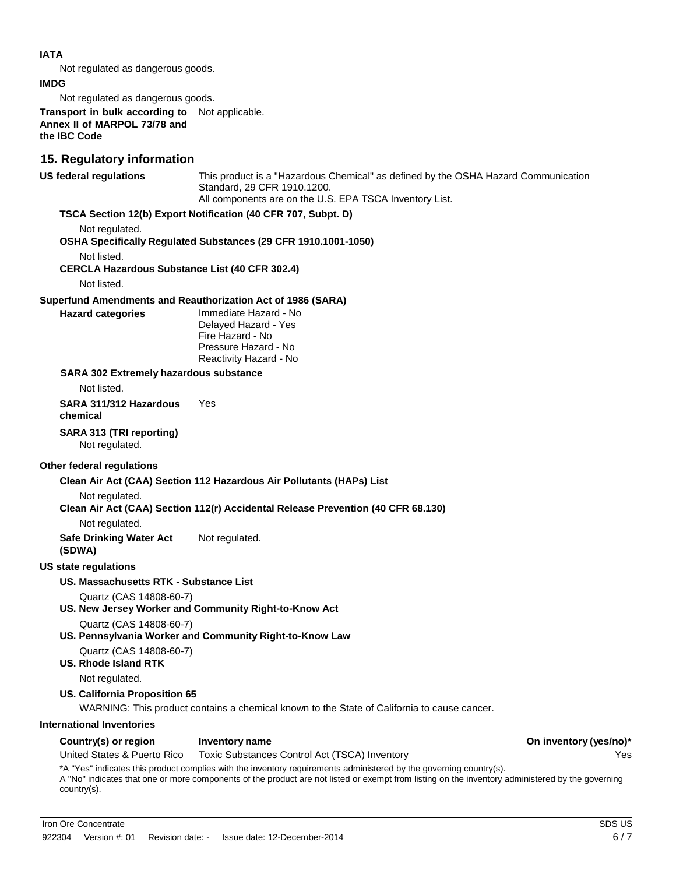#### **IATA**

Not regulated as dangerous goods.

**IMDG**

Not regulated as dangerous goods.

**Transport in bulk according to**  Not applicable. **Annex II of MARPOL 73/78 and the IBC Code**

### **15. Regulatory information**

**US federal regulations** This product is a "Hazardous Chemical" as defined by the OSHA Hazard Communication Standard, 29 CFR 1910.1200. All components are on the U.S. EPA TSCA Inventory List.

#### **TSCA Section 12(b) Export Notification (40 CFR 707, Subpt. D)**

Not regulated.

**OSHA Specifically Regulated Substances (29 CFR 1910.1001-1050)**

Not listed.

**CERCLA Hazardous Substance List (40 CFR 302.4)**

Not listed.

#### **Superfund Amendments and Reauthorization Act of 1986 (SARA)**

**Hazard categories** Immediate Hazard - No Delayed Hazard - Yes Fire Hazard - No Pressure Hazard - No Reactivity Hazard - No

#### **SARA 302 Extremely hazardous substance**

Not listed.

**SARA 311/312 Hazardous chemical** Yes

#### **SARA 313 (TRI reporting)**

Not regulated.

#### **Other federal regulations**

**Clean Air Act (CAA) Section 112 Hazardous Air Pollutants (HAPs) List**

Not regulated.

**Clean Air Act (CAA) Section 112(r) Accidental Release Prevention (40 CFR 68.130)**

Not regulated.

**Safe Drinking Water Act** Not regulated.

**(SDWA)**

#### **US state regulations**

#### **US. Massachusetts RTK - Substance List**

Quartz (CAS 14808-60-7)

**US. New Jersey Worker and Community Right-to-Know Act**

Quartz (CAS 14808-60-7)

**US. Pennsylvania Worker and Community Right-to-Know Law**

Quartz (CAS 14808-60-7)

**US. Rhode Island RTK**

Not regulated.

#### **US. California Proposition 65**

WARNING: This product contains a chemical known to the State of California to cause cancer.

#### **International Inventories**

#### **Country(s) or region Inventory name On inventory (yes/no)\***

United States & Puerto Rico Toxic Substances Control Act (TSCA) Inventory Yes

\*A "Yes" indicates this product complies with the inventory requirements administered by the governing country(s). A "No" indicates that one or more components of the product are not listed or exempt from listing on the inventory administered by the governing country(s).